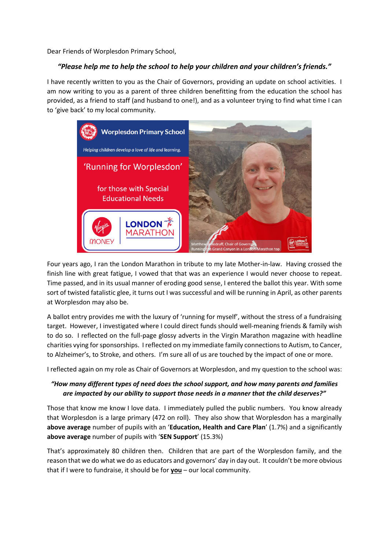Dear Friends of Worplesdon Primary School,

## *"Please help me to help the school to help your children and your children's friends."*

I have recently written to you as the Chair of Governors, providing an update on school activities. I am now writing to you as a parent of three children benefitting from the education the school has provided, as a friend to staff (and husband to one!), and as a volunteer trying to find what time I can to 'give back' to my local community.



Four years ago, I ran the London Marathon in tribute to my late Mother-in-law. Having crossed the finish line with great fatigue, I vowed that that was an experience I would never choose to repeat. Time passed, and in its usual manner of eroding good sense, I entered the ballot this year. With some sort of twisted fatalistic glee, it turns out I was successful and will be running in April, as other parents at Worplesdon may also be.

A ballot entry provides me with the luxury of 'running for myself', without the stress of a fundraising target. However, I investigated where I could direct funds should well-meaning friends & family wish to do so. I reflected on the full-page glossy adverts in the Virgin Marathon magazine with headline charities vying for sponsorships. I reflected on my immediate family connections to Autism, to Cancer, to Alzheimer's, to Stroke, and others. I'm sure all of us are touched by the impact of one or more.

I reflected again on my role as Chair of Governors at Worplesdon, and my question to the school was:

## *"How many different types of need does the school support, and how many parents and families are impacted by our ability to support those needs in a manner that the child deserves?"*

Those that know me know I love data. I immediately pulled the public numbers. You know already that Worplesdon is a large primary (472 on roll). They also show that Worplesdon has a marginally **above average** number of pupils with an '**Education, Health and Care Plan**' (1.7%) and a significantly **above average** number of pupils with '**SEN Support**' (15.3%)

That's approximately 80 children then. Children that are part of the Worplesdon family, and the reason that we do what we do as educators and governors' day in day out. It couldn't be more obvious that if I were to fundraise, it should be for **you** – our local community.